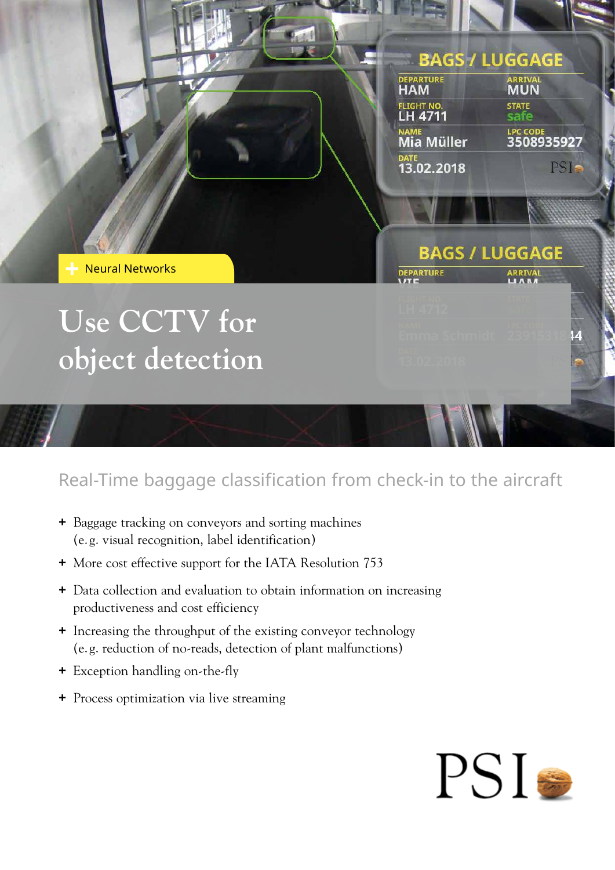## **BAGS / LUGGAGE DEPARTURE ARRIVAL HAM** <mark>light no.</mark><br>L**H 4711 STATE** LPC CODE<br>3508935927 Mia Müller DATE<br>13.02.2018 PSIS **BAGS / LUGGAGE** DEPARTURE ARRIVAL

Neural Networks

## **Use CCTV for object detection**

Real-Time baggage classification from check-in to the aircraft

- **+** Baggage tracking on conveyors and sorting machines (e. g. visual recognition, label identification)
- **+** More cost effective support for the IATA Resolution 753
- **+** Data collection and evaluation to obtain information on increasing productiveness and cost efficiency
- **+** Increasing the throughput of the existing conveyor technology (e. g. reduction of no-reads, detection of plant malfunctions)
- **+** Exception handling on-the-fly
- **+** Process optimization via live streaming